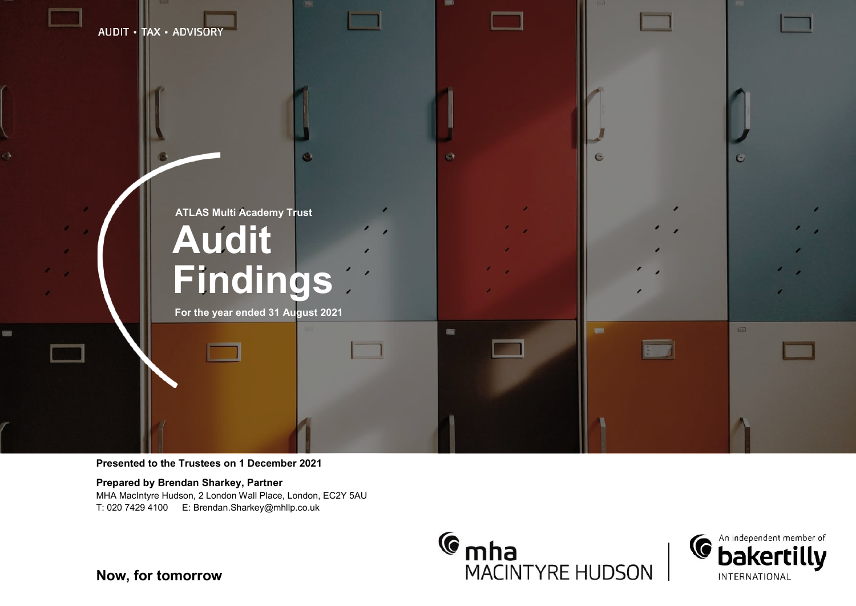

#### **Presented to the Trustees on 1 December 2021**

**Prepared by Brendan Sharkey, Partner** MHA MacIntyre Hudson, 2 London Wall Place, London, EC2Y 5AU







**Now, for tomorrow**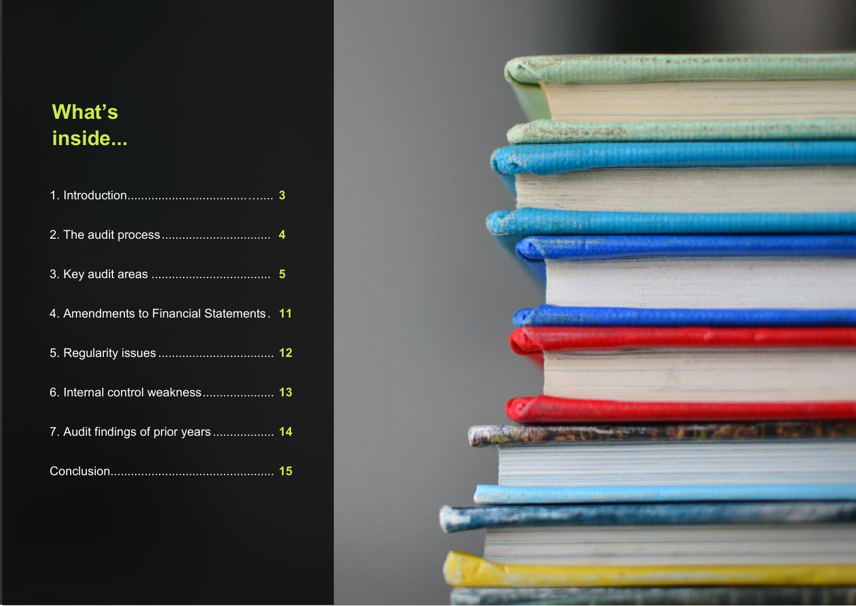## **What's inside...**

| 4. Amendments to Financial Statements. 11 |  |
|-------------------------------------------|--|
|                                           |  |
| 6. Internal control weakness 13           |  |
| 7. Audit findings of prior years  14      |  |
|                                           |  |

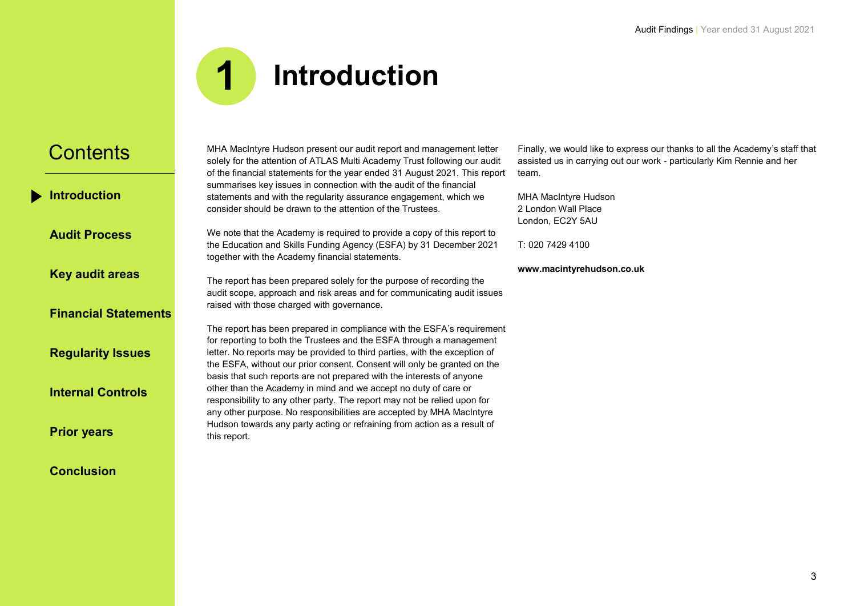

<span id="page-2-0"></span>**[Introduction](#page-2-0)**

**[Audit Process](#page-3-0)**

**[Key audit areas](#page-4-0)**

### **[Financial Statements](#page-10-0)**

**[Regularity Issues](#page-11-0)**

**[Internal Controls](#page-12-0)**

**[Prior years](#page-13-0)**

**[Conclusion](#page-14-0)**

MHA MacIntyre Hudson present our audit report and management letter solely for the attention of ATLAS Multi Academy Trust following our audit of the financial statements for the year ended 31 August 2021. This report summarises key issues in connection with the audit of the financial statements and with the regularity assurance engagement, which we consider should be drawn to the attention of the Trustees.

We note that the Academy is required to provide a copy of this report to the Education and Skills Funding Agency (ESFA) by 31 December 2021 together with the Academy financial statements.

The report has been prepared solely for the purpose of recording the audit scope, approach and risk areas and for communicating audit issues raised with those charged with governance.

The report has been prepared in compliance with the ESFA's requirement for reporting to both the Trustees and the ESFA through a management letter. No reports may be provided to third parties, with the exception of the ESFA, without our prior consent. Consent will only be granted on the basis that such reports are not prepared with the interests of anyone other than the Academy in mind and we accept no duty of care or responsibility to any other party. The report may not be relied upon for any other purpose. No responsibilities are accepted by MHA MacIntyre Hudson towards any party acting or refraining from action as a result of this report.

Finally, we would like to express our thanks to all the Academy's staff that assisted us in carrying out our work - particularly Kim Rennie and her team.

MHA MacIntyre Hudson 2 London Wall Place London, EC2Y 5AU

T: 020 7429 4100

**www.macintyrehudson.co.uk**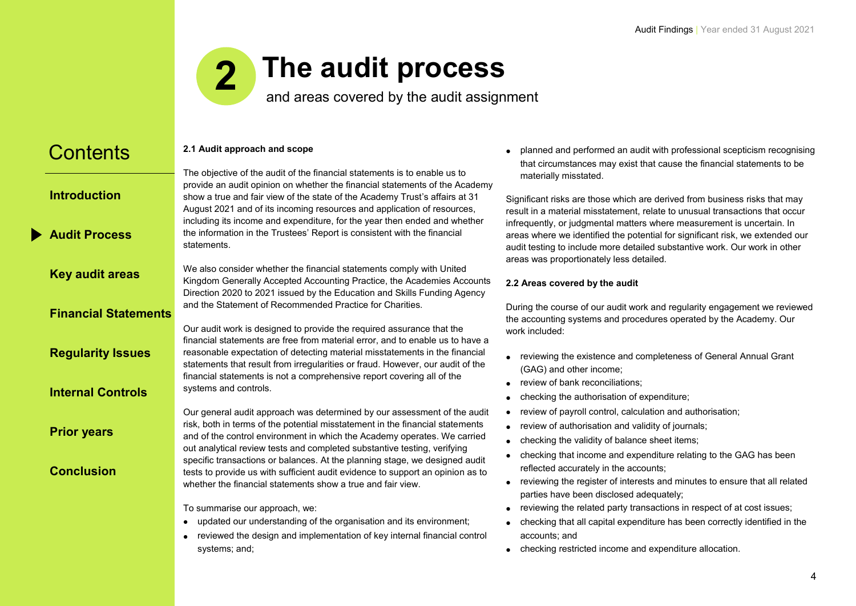### **The audit process 2**

and areas covered by the audit assignment

#### <span id="page-3-0"></span>**Contents [Introduction](#page-2-0) [Audit Process](#page-3-0) [Key audit areas](#page-4-0) [Financial Statements](#page-10-0) [Regularity Issues](#page-11-0) [Internal Controls](#page-12-0) [Prior years](#page-13-0) [Conclusion](#page-14-0) 2.1 Audit approach and scope** The objective of the audit of the financial statements is to enable us to provide an audit opinion on whether the financial statements of the Academy show a true and fair view of the state of the Academy Trust's affairs at 31 August 2021 and of its incoming resources and application of resources, including its income and expenditure, for the year then ended and whether the information in the Trustees' Report is consistent with the financial statements. We also consider whether the financial statements comply with United Kingdom Generally Accepted Accounting Practice, the Academies Accounts Direction 2020 to 2021 issued by the Education and Skills Funding Agency and the Statement of Recommended Practice for Charities. Our audit work is designed to provide the required assurance that the financial statements are free from material error, and to enable us to have a reasonable expectation of detecting material misstatements in the financial statements that result from irregularities or fraud. However, our audit of the financial statements is not a comprehensive report covering all of the systems and controls. Our general audit approach was determined by our assessment of the audit risk, both in terms of the potential misstatement in the financial statements and of the control environment in which the Academy operates. We carried out analytical review tests and completed substantive testing, verifying specific transactions or balances. At the planning stage, we designed audit tests to provide us with sufficient audit evidence to support an opinion as to whether the financial statements show a true and fair view. To summarise our approach, we: • updated our understanding of the organisation and its environment; • reviewed the design and implementation of key internal financial control materially misstated. work included: (GAG) and other income;

systems; and;

• planned and performed an audit with professional scepticism recognising that circumstances may exist that cause the financial statements to be

Significant risks are those which are derived from business risks that may result in a material misstatement, relate to unusual transactions that occur infrequently, or judgmental matters where measurement is uncertain. In areas where we identified the potential for significant risk, we extended our audit testing to include more detailed substantive work. Our work in other areas was proportionately less detailed.

#### **2.2 Areas covered by the audit**

During the course of our audit work and regularity engagement we reviewed the accounting systems and procedures operated by the Academy. Our

- reviewing the existence and completeness of General Annual Grant
- review of bank reconciliations;
- checking the authorisation of expenditure;
- review of payroll control, calculation and authorisation;
- review of authorisation and validity of journals;
- checking the validity of balance sheet items;
- checking that income and expenditure relating to the GAG has been reflected accurately in the accounts;
- reviewing the register of interests and minutes to ensure that all related parties have been disclosed adequately;
- reviewing the related party transactions in respect of at cost issues;
- checking that all capital expenditure has been correctly identified in the accounts; and
- checking restricted income and expenditure allocation.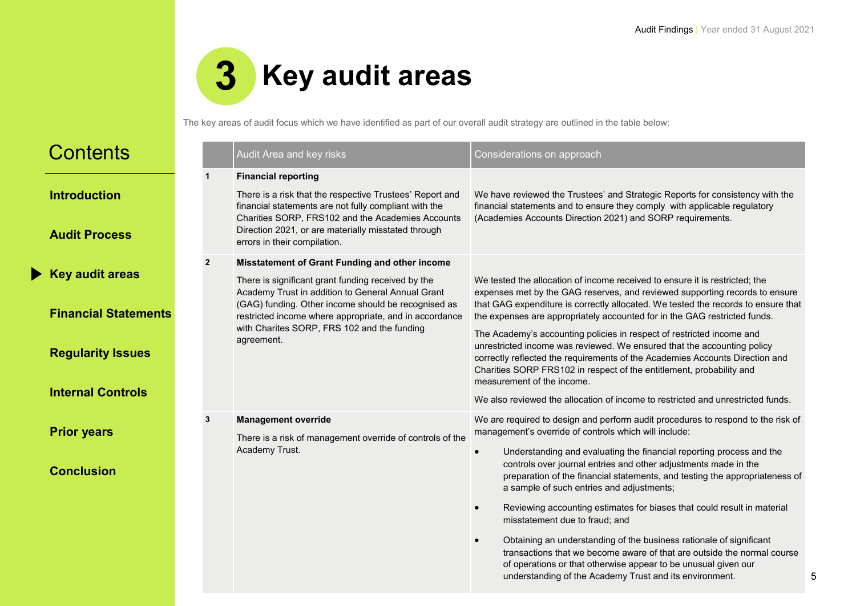5



The key areas of audit focus which we have identified as part of our overall audit strategy are outlined in the table below:

<span id="page-4-0"></span>

| <b>Contents</b>                                                                                               |                | Audit Area and key risks                                                                                                                                                                                                                                                                                                                | Considerations on approach                                                                                                                                                                                                                                                                                                                                                                                                                                                                                                                                                                                                                                                                                        |
|---------------------------------------------------------------------------------------------------------------|----------------|-----------------------------------------------------------------------------------------------------------------------------------------------------------------------------------------------------------------------------------------------------------------------------------------------------------------------------------------|-------------------------------------------------------------------------------------------------------------------------------------------------------------------------------------------------------------------------------------------------------------------------------------------------------------------------------------------------------------------------------------------------------------------------------------------------------------------------------------------------------------------------------------------------------------------------------------------------------------------------------------------------------------------------------------------------------------------|
| <b>Introduction</b><br><b>Audit Process</b>                                                                   | $\mathbf 1$    | <b>Financial reporting</b><br>There is a risk that the respective Trustees' Report and<br>financial statements are not fully compliant with the<br>Charities SORP, FRS102 and the Academies Accounts<br>Direction 2021, or are materially misstated through<br>errors in their compilation.                                             | We have reviewed the Trustees' and Strategic Reports for consistency with the<br>financial statements and to ensure they comply with applicable regulatory<br>(Academies Accounts Direction 2021) and SORP requirements.                                                                                                                                                                                                                                                                                                                                                                                                                                                                                          |
| <b>Key audit areas</b><br><b>Financial Statements</b><br><b>Regularity Issues</b><br><b>Internal Controls</b> | $\overline{2}$ | Misstatement of Grant Funding and other income<br>There is significant grant funding received by the<br>Academy Trust in addition to General Annual Grant<br>(GAG) funding. Other income should be recognised as<br>restricted income where appropriate, and in accordance<br>with Charites SORP, FRS 102 and the funding<br>agreement. | We tested the allocation of income received to ensure it is restricted; the<br>expenses met by the GAG reserves, and reviewed supporting records to ensure<br>that GAG expenditure is correctly allocated. We tested the records to ensure that<br>the expenses are appropriately accounted for in the GAG restricted funds.<br>The Academy's accounting policies in respect of restricted income and<br>unrestricted income was reviewed. We ensured that the accounting policy<br>correctly reflected the requirements of the Academies Accounts Direction and<br>Charities SORP FRS102 in respect of the entitlement, probability and<br>measurement of the income.                                            |
| <b>Prior years</b><br><b>Conclusion</b>                                                                       | 3              | <b>Management override</b><br>There is a risk of management override of controls of the<br>Academy Trust.                                                                                                                                                                                                                               | We also reviewed the allocation of income to restricted and unrestricted funds.<br>We are required to design and perform audit procedures to respond to the risk of<br>management's override of controls which will include:<br>Understanding and evaluating the financial reporting process and the<br>$\bullet$<br>controls over journal entries and other adjustments made in the<br>preparation of the financial statements, and testing the appropriateness of<br>a sample of such entries and adjustments;<br>Reviewing accounting estimates for biases that could result in material<br>$\bullet$<br>misstatement due to fraud; and<br>Obtaining an understanding of the business rationale of significant |
|                                                                                                               |                |                                                                                                                                                                                                                                                                                                                                         | transactions that we become aware of that are outside the normal course<br>of operations or that otherwise appear to be unusual given our<br>understanding of the Academy Trust and its environment.                                                                                                                                                                                                                                                                                                                                                                                                                                                                                                              |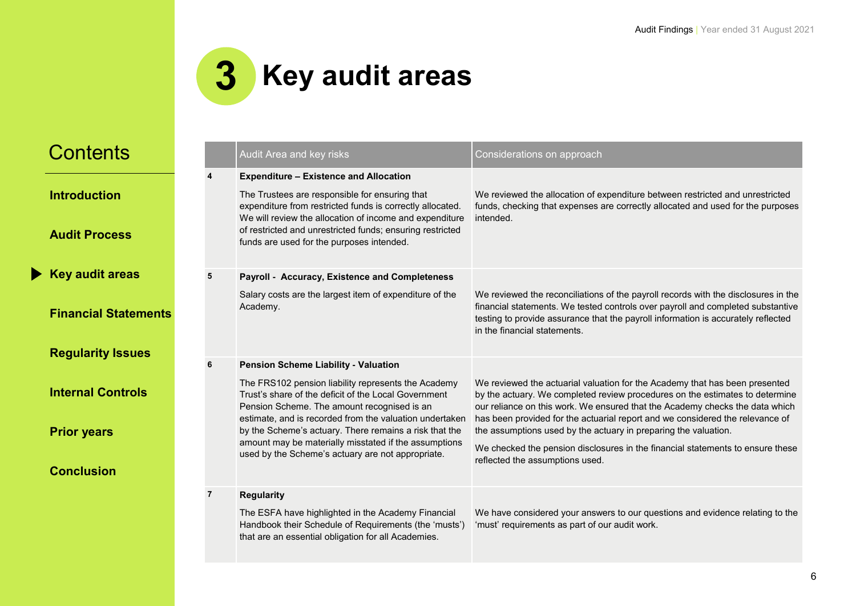

| <b>Contents</b>             |   | Audit Area and key risks                                                                                                                                                                                                        | Considerations on approach                                                                                                                                                                                                                                                                 |
|-----------------------------|---|---------------------------------------------------------------------------------------------------------------------------------------------------------------------------------------------------------------------------------|--------------------------------------------------------------------------------------------------------------------------------------------------------------------------------------------------------------------------------------------------------------------------------------------|
|                             |   | <b>Expenditure - Existence and Allocation</b>                                                                                                                                                                                   |                                                                                                                                                                                                                                                                                            |
| <b>Introduction</b>         |   | The Trustees are responsible for ensuring that<br>expenditure from restricted funds is correctly allocated.<br>We will review the allocation of income and expenditure                                                          | We reviewed the allocation of expenditure between restricted and unrestricted<br>funds, checking that expenses are correctly allocated and used for the purposes<br>intended.                                                                                                              |
| <b>Audit Process</b>        |   | of restricted and unrestricted funds; ensuring restricted<br>funds are used for the purposes intended.                                                                                                                          |                                                                                                                                                                                                                                                                                            |
| <b>Key audit areas</b>      | 5 | Payroll - Accuracy, Existence and Completeness                                                                                                                                                                                  |                                                                                                                                                                                                                                                                                            |
| <b>Financial Statements</b> |   | Salary costs are the largest item of expenditure of the<br>Academy.                                                                                                                                                             | We reviewed the reconciliations of the payroll records with the disclosures in the<br>financial statements. We tested controls over payroll and completed substantive<br>testing to provide assurance that the payroll information is accurately reflected<br>in the financial statements. |
| <b>Regularity Issues</b>    | 6 |                                                                                                                                                                                                                                 |                                                                                                                                                                                                                                                                                            |
| <b>Internal Controls</b>    |   | <b>Pension Scheme Liability - Valuation</b><br>The FRS102 pension liability represents the Academy<br>Trust's share of the deficit of the Local Government<br>Pension Scheme. The amount recognised is an                       | We reviewed the actuarial valuation for the Academy that has been presented<br>by the actuary. We completed review procedures on the estimates to determine<br>our reliance on this work. We ensured that the Academy checks the data which                                                |
| <b>Prior years</b>          |   | estimate, and is recorded from the valuation undertaken<br>by the Scheme's actuary. There remains a risk that the<br>amount may be materially misstated if the assumptions<br>used by the Scheme's actuary are not appropriate. | has been provided for the actuarial report and we considered the relevance of<br>the assumptions used by the actuary in preparing the valuation.<br>We checked the pension disclosures in the financial statements to ensure these                                                         |
| <b>Conclusion</b>           |   |                                                                                                                                                                                                                                 | reflected the assumptions used.                                                                                                                                                                                                                                                            |
|                             | 7 | <b>Regularity</b>                                                                                                                                                                                                               |                                                                                                                                                                                                                                                                                            |
|                             |   | The ESFA have highlighted in the Academy Financial<br>Handbook their Schedule of Requirements (the 'musts')<br>that are an essential obligation for all Academies.                                                              | We have considered your answers to our questions and evidence relating to the<br>'must' requirements as part of our audit work.                                                                                                                                                            |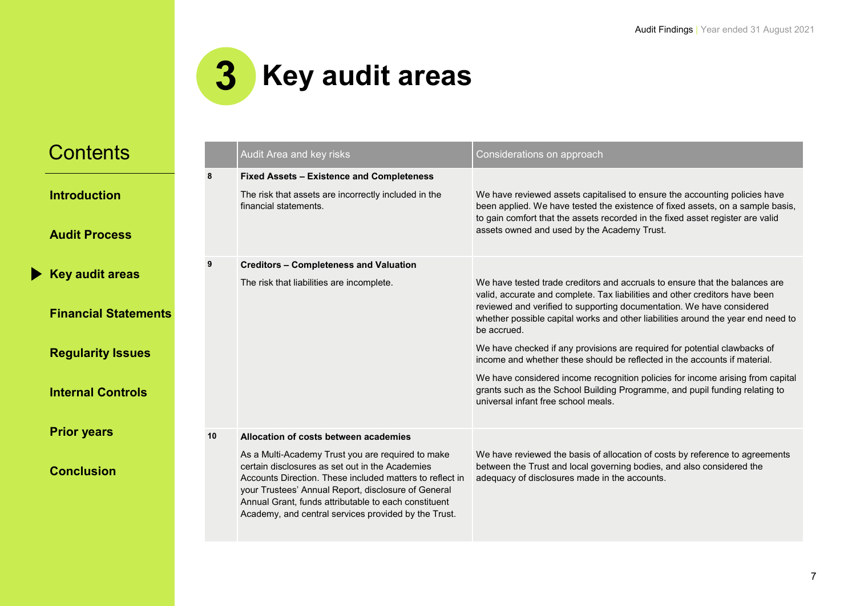

| <b>Introduction</b> |  |  |  |
|---------------------|--|--|--|
|                     |  |  |  |

**[Audit Process](#page-3-0)**

**[Key audit areas](#page-4-0)**

**[Financial Statements](#page-10-0)**

**[Regularity Issues](#page-11-0)**

**[Internal Controls](#page-12-0)**

**[Prior years](#page-13-0)**

|    | Audit Area and key risks                                                                                                                                                                                                                                                                                                                                                         | Considerations on approach                                                                                                                                                                                                                                                                                                                                                                                                                                                                                                                                                                                                                                                                               |
|----|----------------------------------------------------------------------------------------------------------------------------------------------------------------------------------------------------------------------------------------------------------------------------------------------------------------------------------------------------------------------------------|----------------------------------------------------------------------------------------------------------------------------------------------------------------------------------------------------------------------------------------------------------------------------------------------------------------------------------------------------------------------------------------------------------------------------------------------------------------------------------------------------------------------------------------------------------------------------------------------------------------------------------------------------------------------------------------------------------|
| 8  | <b>Fixed Assets - Existence and Completeness</b><br>The risk that assets are incorrectly included in the<br>financial statements.                                                                                                                                                                                                                                                | We have reviewed assets capitalised to ensure the accounting policies have<br>been applied. We have tested the existence of fixed assets, on a sample basis,<br>to gain comfort that the assets recorded in the fixed asset register are valid<br>assets owned and used by the Academy Trust.                                                                                                                                                                                                                                                                                                                                                                                                            |
| 9  | <b>Creditors - Completeness and Valuation</b><br>The risk that liabilities are incomplete.                                                                                                                                                                                                                                                                                       | We have tested trade creditors and accruals to ensure that the balances are<br>valid, accurate and complete. Tax liabilities and other creditors have been<br>reviewed and verified to supporting documentation. We have considered<br>whether possible capital works and other liabilities around the year end need to<br>be accrued.<br>We have checked if any provisions are required for potential clawbacks of<br>income and whether these should be reflected in the accounts if material.<br>We have considered income recognition policies for income arising from capital<br>grants such as the School Building Programme, and pupil funding relating to<br>universal infant free school meals. |
| 10 | Allocation of costs between academies<br>As a Multi-Academy Trust you are required to make<br>certain disclosures as set out in the Academies<br>Accounts Direction. These included matters to reflect in<br>your Trustees' Annual Report, disclosure of General<br>Annual Grant, funds attributable to each constituent<br>Academy, and central services provided by the Trust. | We have reviewed the basis of allocation of costs by reference to agreements<br>between the Trust and local governing bodies, and also considered the<br>adequacy of disclosures made in the accounts.                                                                                                                                                                                                                                                                                                                                                                                                                                                                                                   |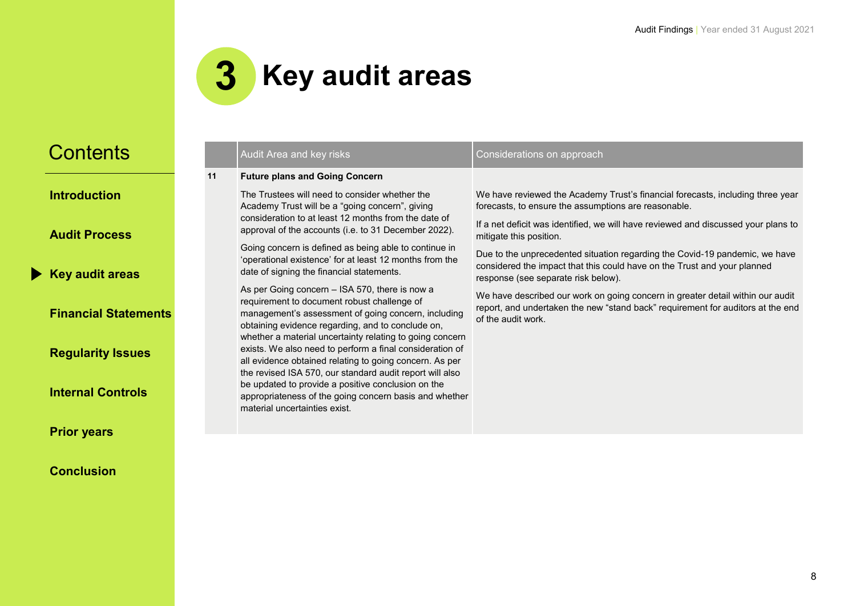

**[Introduction](#page-2-0)**

**[Audit Process](#page-3-0)**

**[Key audit areas](#page-4-0)**

**[Financial Statements](#page-10-0)**

**[Regularity Issues](#page-11-0)**

**[Internal Controls](#page-12-0)**

**[Prior years](#page-13-0)**

|    | Audit Area and key risks                                                                                                                                                                                                                                                                                                                                                                                                                                                                                                                                                                                                                                                                                                                                                                                                                                                                                                                                                                        | Considerations on approach                                                                                                                                                                                                                                                                                                                                                                                                                                                                                                                                                                                                                           |
|----|-------------------------------------------------------------------------------------------------------------------------------------------------------------------------------------------------------------------------------------------------------------------------------------------------------------------------------------------------------------------------------------------------------------------------------------------------------------------------------------------------------------------------------------------------------------------------------------------------------------------------------------------------------------------------------------------------------------------------------------------------------------------------------------------------------------------------------------------------------------------------------------------------------------------------------------------------------------------------------------------------|------------------------------------------------------------------------------------------------------------------------------------------------------------------------------------------------------------------------------------------------------------------------------------------------------------------------------------------------------------------------------------------------------------------------------------------------------------------------------------------------------------------------------------------------------------------------------------------------------------------------------------------------------|
| 11 | <b>Future plans and Going Concern</b>                                                                                                                                                                                                                                                                                                                                                                                                                                                                                                                                                                                                                                                                                                                                                                                                                                                                                                                                                           |                                                                                                                                                                                                                                                                                                                                                                                                                                                                                                                                                                                                                                                      |
|    | The Trustees will need to consider whether the<br>Academy Trust will be a "going concern", giving<br>consideration to at least 12 months from the date of<br>approval of the accounts (i.e. to 31 December 2022).<br>Going concern is defined as being able to continue in<br>'operational existence' for at least 12 months from the<br>date of signing the financial statements.<br>As per Going concern - ISA 570, there is now a<br>requirement to document robust challenge of<br>management's assessment of going concern, including<br>obtaining evidence regarding, and to conclude on,<br>whether a material uncertainty relating to going concern<br>exists. We also need to perform a final consideration of<br>all evidence obtained relating to going concern. As per<br>the revised ISA 570, our standard audit report will also<br>be updated to provide a positive conclusion on the<br>appropriateness of the going concern basis and whether<br>material uncertainties exist. | We have reviewed the Academy Trust's financial forecasts, including three year<br>forecasts, to ensure the assumptions are reasonable.<br>If a net deficit was identified, we will have reviewed and discussed your plans to<br>mitigate this position.<br>Due to the unprecedented situation regarding the Covid-19 pandemic, we have<br>considered the impact that this could have on the Trust and your planned<br>response (see separate risk below).<br>We have described our work on going concern in greater detail within our audit<br>report, and undertaken the new "stand back" requirement for auditors at the end<br>of the audit work. |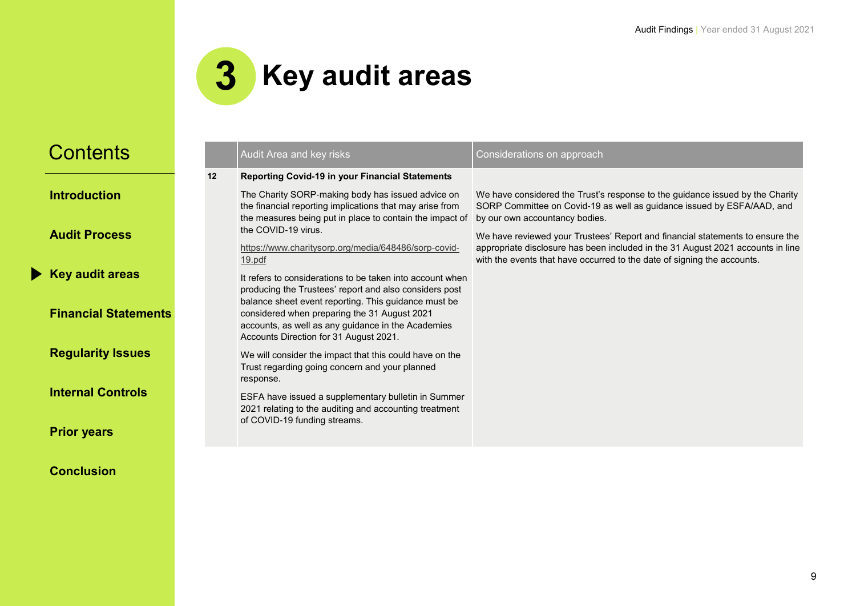

**[Introduction](#page-2-0)**

**[Audit Process](#page-3-0)**

**[Key audit areas](#page-4-0)**

**[Financial Statements](#page-10-0)** 

**[Regularity Issues](#page-11-0)**

**[Internal Controls](#page-12-0)**

**[Prior years](#page-13-0)**

|   |    | Audit Area and key risks                                                                                                                                                                                                                                                                                                                                                                                                                                   | Considerations on approach                                                                                                                                                                                                                                                                                                                                                                                                               |
|---|----|------------------------------------------------------------------------------------------------------------------------------------------------------------------------------------------------------------------------------------------------------------------------------------------------------------------------------------------------------------------------------------------------------------------------------------------------------------|------------------------------------------------------------------------------------------------------------------------------------------------------------------------------------------------------------------------------------------------------------------------------------------------------------------------------------------------------------------------------------------------------------------------------------------|
|   | 12 | <b>Reporting Covid-19 in your Financial Statements</b><br>The Charity SORP-making body has issued advice on<br>the financial reporting implications that may arise from<br>the measures being put in place to contain the impact of<br>the COVID-19 virus.<br>https://www.charitysorp.org/media/648486/sorp-covid-<br><u>19.pdf</u><br>It refers to considerations to be taken into account when<br>producing the Trustees' report and also considers post | We have considered the Trust's response to the guidance issued by the Charity<br>SORP Committee on Covid-19 as well as guidance issued by ESFA/AAD, and<br>by our own accountancy bodies.<br>We have reviewed your Trustees' Report and financial statements to ensure the<br>appropriate disclosure has been included in the 31 August 2021 accounts in line<br>with the events that have occurred to the date of signing the accounts. |
| s |    | balance sheet event reporting. This guidance must be<br>considered when preparing the 31 August 2021<br>accounts, as well as any guidance in the Academies<br>Accounts Direction for 31 August 2021.                                                                                                                                                                                                                                                       |                                                                                                                                                                                                                                                                                                                                                                                                                                          |
|   |    | We will consider the impact that this could have on the<br>Trust regarding going concern and your planned<br>response.                                                                                                                                                                                                                                                                                                                                     |                                                                                                                                                                                                                                                                                                                                                                                                                                          |
|   |    | ESFA have issued a supplementary bulletin in Summer<br>2021 relating to the auditing and accounting treatment<br>of COVID-19 funding streams.                                                                                                                                                                                                                                                                                                              |                                                                                                                                                                                                                                                                                                                                                                                                                                          |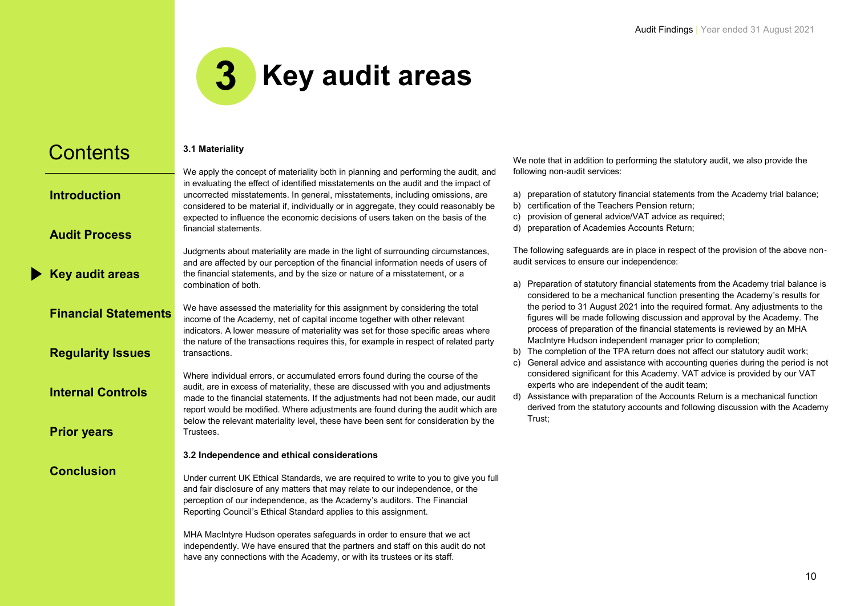

**[Introduction](#page-2-0)**

**[Audit Process](#page-3-0)**

**[Key audit areas](#page-4-0)**

**[Financial Statements](#page-10-0)**

**[Regularity Issues](#page-11-0)**

**[Internal Controls](#page-12-0)**

**[Prior years](#page-13-0)**

**[Conclusion](#page-14-0)**

#### **3.1 Materiality**

We apply the concept of materiality both in planning and performing the audit, and in evaluating the effect of identified misstatements on the audit and the impact of uncorrected misstatements. In general, misstatements, including omissions, are considered to be material if, individually or in aggregate, they could reasonably be expected to influence the economic decisions of users taken on the basis of the financial statements.

Judgments about materiality are made in the light of surrounding circumstances, and are affected by our perception of the financial information needs of users of the financial statements, and by the size or nature of a misstatement, or a combination of both.

We have assessed the materiality for this assignment by considering the total income of the Academy, net of capital income together with other relevant indicators. A lower measure of materiality was set for those specific areas where the nature of the transactions requires this, for example in respect of related party transactions.

Where individual errors, or accumulated errors found during the course of the audit, are in excess of materiality, these are discussed with you and adjustments made to the financial statements. If the adjustments had not been made, our audit report would be modified. Where adjustments are found during the audit which are below the relevant materiality level, these have been sent for consideration by the **Trustees** 

#### **3.2 Independence and ethical considerations**

Under current UK Ethical Standards, we are required to write to you to give you full and fair disclosure of any matters that may relate to our independence, or the perception of our independence, as the Academy's auditors. The Financial Reporting Council's Ethical Standard applies to this assignment.

MHA MacIntyre Hudson operates safeguards in order to ensure that we act independently. We have ensured that the partners and staff on this audit do not have any connections with the Academy, or with its trustees or its staff.

We note that in addition to performing the statutory audit, we also provide the following non-audit services:

- a) preparation of statutory financial statements from the Academy trial balance;
- b) certification of the Teachers Pension return;
- c) provision of general advice/VAT advice as required;
- d) preparation of Academies Accounts Return;

The following safeguards are in place in respect of the provision of the above nonaudit services to ensure our independence:

- a) Preparation of statutory financial statements from the Academy trial balance is considered to be a mechanical function presenting the Academy's results for the period to 31 August 2021 into the required format. Any adjustments to the figures will be made following discussion and approval by the Academy. The process of preparation of the financial statements is reviewed by an MHA MacIntyre Hudson independent manager prior to completion;
- b) The completion of the TPA return does not affect our statutory audit work;
- c) General advice and assistance with accounting queries during the period is not considered significant for this Academy. VAT advice is provided by our VAT experts who are independent of the audit team;
- d) Assistance with preparation of the Accounts Return is a mechanical function derived from the statutory accounts and following discussion with the Academy Trust;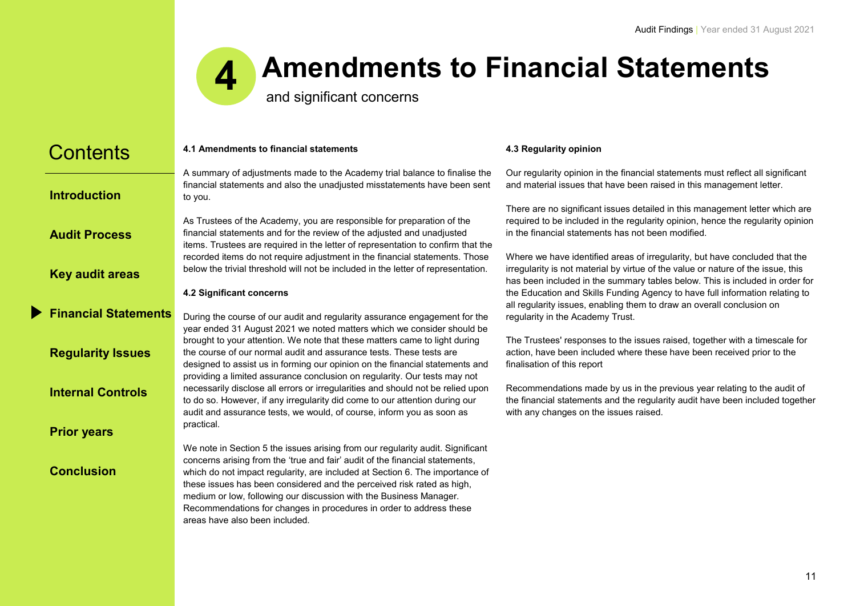

# **Amendments to Financial Statements**

and significant concerns

Recommendations for changes in procedures in order to address these

<span id="page-10-0"></span>

| <b>Contents</b>             | 4.1 Amendments to financial statements<br>A summary of adjustments made to the Academy trial balance to finalise the<br>financial statements and also the unadjusted misstatements have been sent<br>to you.                                                                                                                                                                                   |  |
|-----------------------------|------------------------------------------------------------------------------------------------------------------------------------------------------------------------------------------------------------------------------------------------------------------------------------------------------------------------------------------------------------------------------------------------|--|
| <b>Introduction</b>         |                                                                                                                                                                                                                                                                                                                                                                                                |  |
| <b>Audit Process</b>        | As Trustees of the Academy, you are responsible for preparation of the<br>financial statements and for the review of the adjusted and unadjusted<br>items. Trustees are required in the letter of representation to confirm that the<br>recorded items do not require adjustment in the financial statements. Those                                                                            |  |
| <b>Key audit areas</b>      | below the trivial threshold will not be included in the letter of representation.                                                                                                                                                                                                                                                                                                              |  |
|                             | 4.2 Significant concerns                                                                                                                                                                                                                                                                                                                                                                       |  |
| <b>Financial Statements</b> | During the course of our audit and regularity assurance engagement for the<br>year ended 31 August 2021 we noted matters which we consider should be<br>brought to your attention. We note that these matters came to light during                                                                                                                                                             |  |
| <b>Regularity Issues</b>    | the course of our normal audit and assurance tests. These tests are<br>designed to assist us in forming our opinion on the financial statements and<br>providing a limited assurance conclusion on regularity. Our tests may not                                                                                                                                                               |  |
| <b>Internal Controls</b>    | necessarily disclose all errors or irregularities and should not be relied upon<br>to do so. However, if any irregularity did come to our attention during our<br>audit and assurance tests, we would, of course, inform you as soon as                                                                                                                                                        |  |
| <b>Prior years</b>          | practical.                                                                                                                                                                                                                                                                                                                                                                                     |  |
| <b>Conclusion</b>           | We note in Section 5 the issues arising from our regularity audit. Significant<br>concerns arising from the 'true and fair' audit of the financial statements,<br>which do not impact regularity, are included at Section 6. The importance of<br>these issues has been considered and the perceived risk rated as high,<br>medium or low, following our discussion with the Business Manager. |  |

areas have also been included.

#### **4.3 Regularity opinion**

Our regularity opinion in the financial statements must reflect all significant and material issues that have been raised in this management letter.

There are no significant issues detailed in this management letter which are required to be included in the regularity opinion, hence the regularity opinion in the financial statements has not been modified.

Where we have identified areas of irregularity, but have concluded that the irregularity is not material by virtue of the value or nature of the issue, this has been included in the summary tables below. This is included in order for the Education and Skills Funding Agency to have full information relating to all regularity issues, enabling them to draw an overall conclusion on regularity in the Academy Trust.

The Trustees' responses to the issues raised, together with a timescale for action, have been included where these have been received prior to the finalisation of this report

Recommendations made by us in the previous year relating to the audit of the financial statements and the regularity audit have been included together with any changes on the issues raised.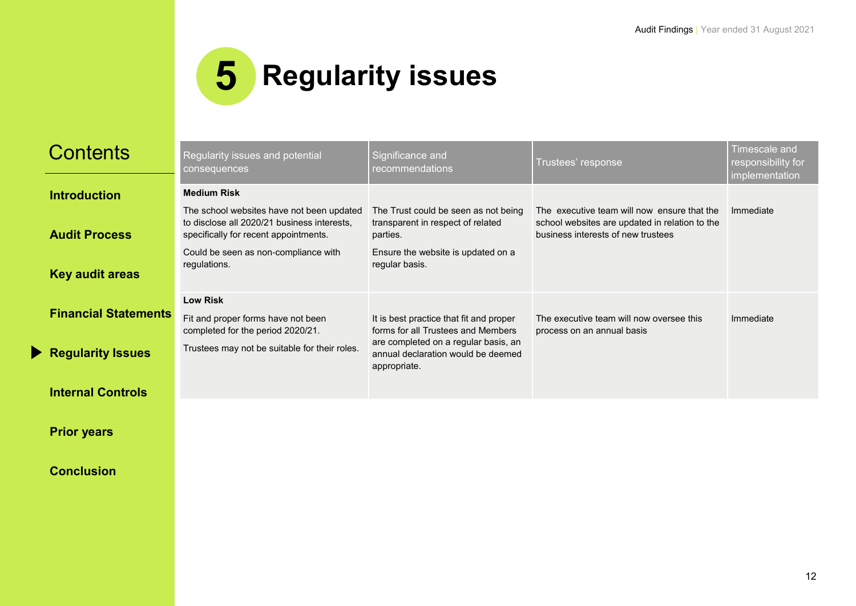

<span id="page-11-0"></span>

| <b>Contents</b>             | Regularity issues and potential<br><b>consequences</b>                                                                            | Significance and<br>recommendations                                                        | Trustees' response                                                                                                                  | Timescale and<br>responsibility for<br>implementation |
|-----------------------------|-----------------------------------------------------------------------------------------------------------------------------------|--------------------------------------------------------------------------------------------|-------------------------------------------------------------------------------------------------------------------------------------|-------------------------------------------------------|
| <b>Introduction</b>         | <b>Medium Risk</b>                                                                                                                |                                                                                            |                                                                                                                                     |                                                       |
| <b>Audit Process</b>        | The school websites have not been updated<br>to disclose all 2020/21 business interests,<br>specifically for recent appointments. | The Trust could be seen as not being<br>transparent in respect of related<br>parties.      | The executive team will now ensure that the<br>school websites are updated in relation to the<br>business interests of new trustees | Immediate                                             |
| <b>Key audit areas</b>      | Could be seen as non-compliance with<br>regulations.                                                                              | Ensure the website is updated on a<br>regular basis.                                       |                                                                                                                                     |                                                       |
| <b>Financial Statements</b> | <b>Low Risk</b><br>Fit and proper forms have not been<br>completed for the period 2020/21.                                        | It is best practice that fit and proper<br>forms for all Trustees and Members              | The executive team will now oversee this<br>process on an annual basis                                                              | Immediate                                             |
| <b>Regularity Issues</b>    | Trustees may not be suitable for their roles.                                                                                     | are completed on a regular basis, an<br>annual declaration would be deemed<br>appropriate. |                                                                                                                                     |                                                       |
| <b>Internal Controls</b>    |                                                                                                                                   |                                                                                            |                                                                                                                                     |                                                       |

**[Prior years](#page-13-0)**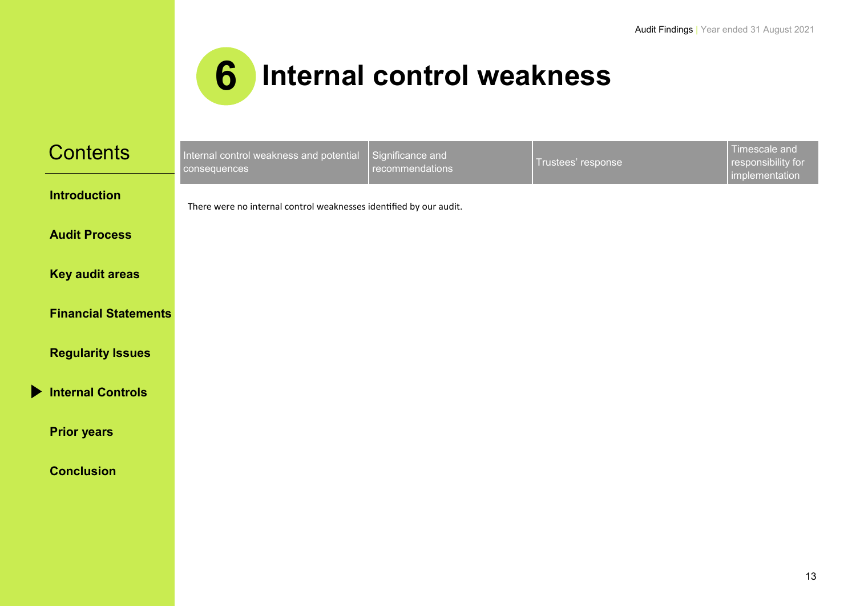

<span id="page-12-0"></span>

| <b>Contents</b>             | Internal control weakness and potential<br>consequences            | Significance and<br>recommendations | Trustees' response | Timescale and<br>responsibility for<br>implementation |
|-----------------------------|--------------------------------------------------------------------|-------------------------------------|--------------------|-------------------------------------------------------|
| <b>Introduction</b>         | There were no internal control weaknesses identified by our audit. |                                     |                    |                                                       |
| <b>Audit Process</b>        |                                                                    |                                     |                    |                                                       |
| <b>Key audit areas</b>      |                                                                    |                                     |                    |                                                       |
| <b>Financial Statements</b> |                                                                    |                                     |                    |                                                       |
| <b>Regularity Issues</b>    |                                                                    |                                     |                    |                                                       |
| <b>Internal Controls</b>    |                                                                    |                                     |                    |                                                       |
| <b>Prior years</b>          |                                                                    |                                     |                    |                                                       |
| <b>Conclusion</b>           |                                                                    |                                     |                    |                                                       |
|                             |                                                                    |                                     |                    |                                                       |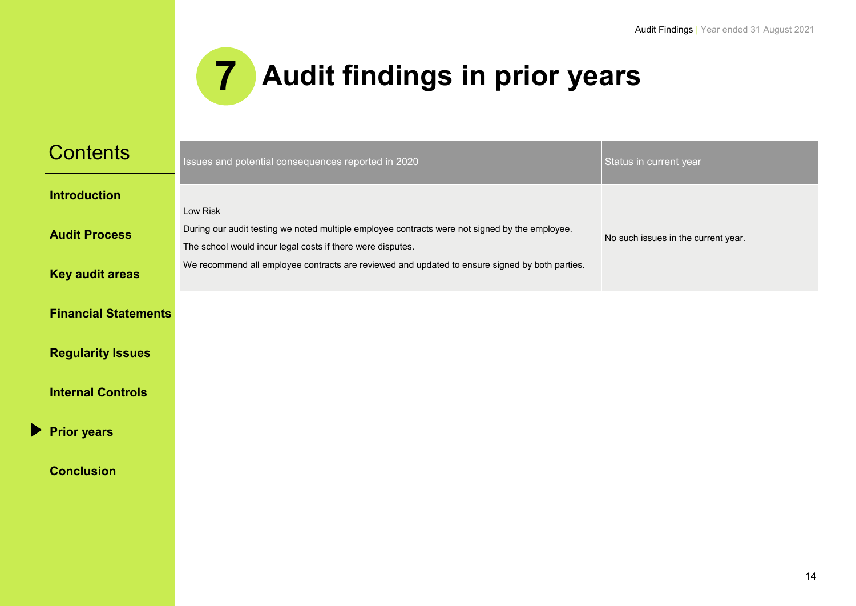

<span id="page-13-0"></span>

| <b>Contents</b>             | Issues and potential consequences reported in 2020                                                                                                           | Status in current year              |
|-----------------------------|--------------------------------------------------------------------------------------------------------------------------------------------------------------|-------------------------------------|
| <b>Introduction</b>         | Low Risk                                                                                                                                                     |                                     |
| <b>Audit Process</b>        | During our audit testing we noted multiple employee contracts were not signed by the employee.<br>The school would incur legal costs if there were disputes. | No such issues in the current year. |
| <b>Key audit areas</b>      | We recommend all employee contracts are reviewed and updated to ensure signed by both parties.                                                               |                                     |
| <b>Financial Statements</b> |                                                                                                                                                              |                                     |
| <b>Regularity Issues</b>    |                                                                                                                                                              |                                     |
| <b>Internal Controls</b>    |                                                                                                                                                              |                                     |
| <b>Prior years</b>          |                                                                                                                                                              |                                     |
| <b>Conclusion</b>           |                                                                                                                                                              |                                     |
|                             |                                                                                                                                                              |                                     |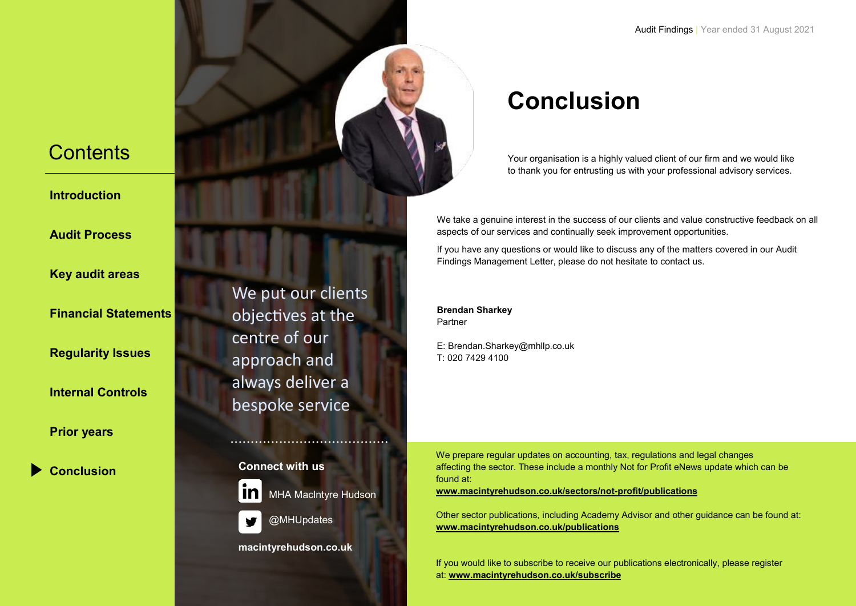<span id="page-14-0"></span>**[Introduction](#page-2-0)**

**[Audit Process](#page-3-0)**

**[Key audit areas](#page-4-0)**

**[Financial Statements](#page-10-0)**

**[Regularity Issues](#page-11-0)**

**[Internal Controls](#page-12-0)**

**[Prior years](#page-13-0)**

**[Conclusion](#page-14-0)**

We put our clients objectives at the centre of our approach and always deliver a bespoke service

**Connect with us**



MHA Maclntyre Hudson

@MHUpdates

**macintyrehudson.co.uk**

# **Conclusion**

Your organisation is a highly valued client of our firm and we would like to thank you for entrusting us with your professional advisory services.

We take a genuine interest in the success of our clients and value constructive feedback on all aspects of our services and continually seek improvement opportunities.

If you have any questions or would like to discuss any of the matters covered in our Audit Findings Management Letter, please do not hesitate to contact us.

**Brendan Sharkey** Partner

E: Brendan.Sharkey@mhllp.co.uk T: 020 7429 4100

We prepare regular updates on accounting, tax, regulations and legal changes affecting the sector. These include a monthly Not for Profit eNews update which can be found at:

**www.macintyrehudson.co.uk/sectors/not-profit/publications**

Other sector publications, including Academy Advisor and other guidance can be found at: **[www.macintyrehudson.co.uk/publications](http://www.macintyrehudson.co.uk/publications)**

If you would like to subscribe to receive our publications electronically, please register at: **www.macintyrehudson.co.uk/subscribe**